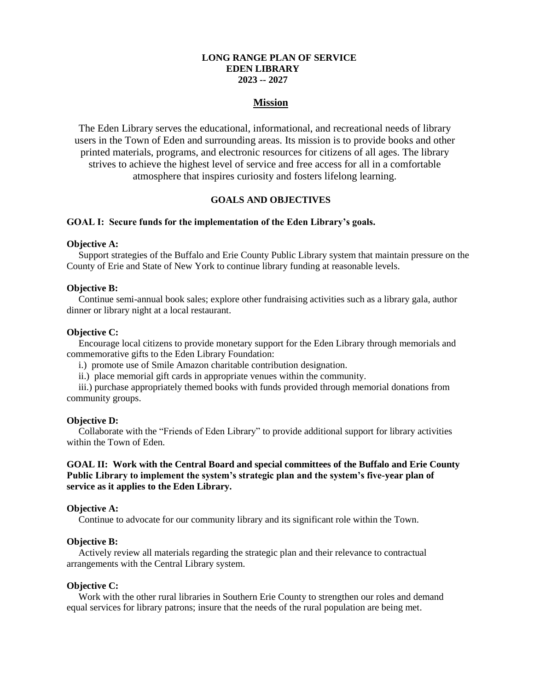### **LONG RANGE PLAN OF SERVICE EDEN LIBRARY 2023 -- 2027**

## **Mission**

The Eden Library serves the educational, informational, and recreational needs of library users in the Town of Eden and surrounding areas. Its mission is to provide books and other printed materials, programs, and electronic resources for citizens of all ages. The library strives to achieve the highest level of service and free access for all in a comfortable atmosphere that inspires curiosity and fosters lifelong learning.

### **GOALS AND OBJECTIVES**

#### **GOAL I: Secure funds for the implementation of the Eden Library's goals.**

### **Objective A:**

Support strategies of the Buffalo and Erie County Public Library system that maintain pressure on the County of Erie and State of New York to continue library funding at reasonable levels.

#### **Objective B:**

Continue semi-annual book sales; explore other fundraising activities such as a library gala, author dinner or library night at a local restaurant.

#### **Objective C:**

Encourage local citizens to provide monetary support for the Eden Library through memorials and commemorative gifts to the Eden Library Foundation:

- i.) promote use of Smile Amazon charitable contribution designation.
- ii.) place memorial gift cards in appropriate venues within the community.

iii.) purchase appropriately themed books with funds provided through memorial donations from community groups.

#### **Objective D:**

Collaborate with the "Friends of Eden Library" to provide additional support for library activities within the Town of Eden.

## **GOAL II: Work with the Central Board and special committees of the Buffalo and Erie County Public Library to implement the system's strategic plan and the system's five-year plan of service as it applies to the Eden Library.**

#### **Objective A:**

Continue to advocate for our community library and its significant role within the Town.

## **Objective B:**

Actively review all materials regarding the strategic plan and their relevance to contractual arrangements with the Central Library system.

#### **Objective C:**

Work with the other rural libraries in Southern Erie County to strengthen our roles and demand equal services for library patrons; insure that the needs of the rural population are being met.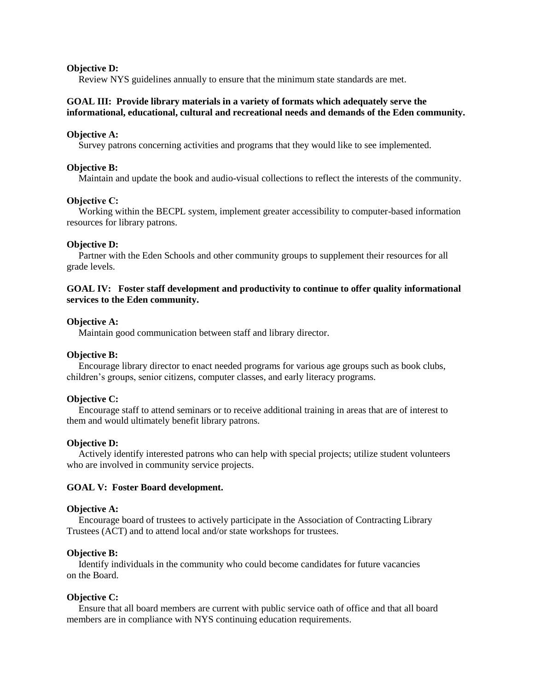### **Objective D:**

Review NYS guidelines annually to ensure that the minimum state standards are met.

## **GOAL III: Provide library materials in a variety of formats which adequately serve the informational, educational, cultural and recreational needs and demands of the Eden community.**

### **Objective A:**

Survey patrons concerning activities and programs that they would like to see implemented.

## **Objective B:**

Maintain and update the book and audio-visual collections to reflect the interests of the community.

## **Objective C:**

Working within the BECPL system, implement greater accessibility to computer-based information resources for library patrons.

## **Objective D:**

Partner with the Eden Schools and other community groups to supplement their resources for all grade levels.

## **GOAL IV: Foster staff development and productivity to continue to offer quality informational services to the Eden community.**

## **Objective A:**

Maintain good communication between staff and library director.

# **Objective B:**

Encourage library director to enact needed programs for various age groups such as book clubs, children's groups, senior citizens, computer classes, and early literacy programs.

## **Objective C:**

Encourage staff to attend seminars or to receive additional training in areas that are of interest to them and would ultimately benefit library patrons.

### **Objective D:**

Actively identify interested patrons who can help with special projects; utilize student volunteers who are involved in community service projects.

### **GOAL V: Foster Board development.**

### **Objective A:**

Encourage board of trustees to actively participate in the Association of Contracting Library Trustees (ACT) and to attend local and/or state workshops for trustees.

### **Objective B:**

Identify individuals in the community who could become candidates for future vacancies on the Board.

## **Objective C:**

Ensure that all board members are current with public service oath of office and that all board members are in compliance with NYS continuing education requirements.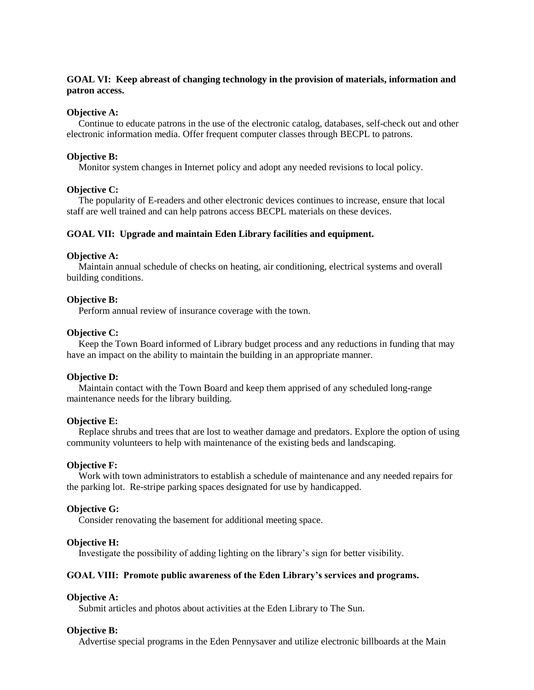## **GOAL VI: Keep abreast of changing technology in the provision of materials, information and patron access.**

#### **Objective A:**

Continue to educate patrons in the use of the electronic catalog, databases, self-check out and other electronic information media. Offer frequent computer classes through BECPL to patrons.

#### **Objective B:**

Monitor system changes in Internet policy and adopt any needed revisions to local policy.

### **Objective C:**

The popularity of E-readers and other electronic devices continues to increase, ensure that local staff are well trained and can help patrons access BECPL materials on these devices.

### **GOAL VII: Upgrade and maintain Eden Library facilities and equipment.**

#### **Objective A:**

Maintain annual schedule of checks on heating, air conditioning, electrical systems and overall building conditions.

### **Objective B:**

Perform annual review of insurance coverage with the town.

### **Objective C:**

Keep the Town Board informed of Library budget process and any reductions in funding that may have an impact on the ability to maintain the building in an appropriate manner.

#### **Objective D:**

Maintain contact with the Town Board and keep them apprised of any scheduled long-range maintenance needs for the library building.

### **Objective E:**

Replace shrubs and trees that are lost to weather damage and predators. Explore the option of using community volunteers to help with maintenance of the existing beds and landscaping.

### **Objective F:**

Work with town administrators to establish a schedule of maintenance and any needed repairs for the parking lot. Re-stripe parking spaces designated for use by handicapped.

#### **Objective G:**

Consider renovating the basement for additional meeting space.

#### **Objective H:**

Investigate the possibility of adding lighting on the library's sign for better visibility.

## **GOAL VIII: Promote public awareness of the Eden Library's services and programs.**

#### **Objective A:**

Submit articles and photos about activities at the Eden Library to The Sun.

#### **Objective B:**

Advertise special programs in the Eden Pennysaver and utilize electronic billboards at the Main